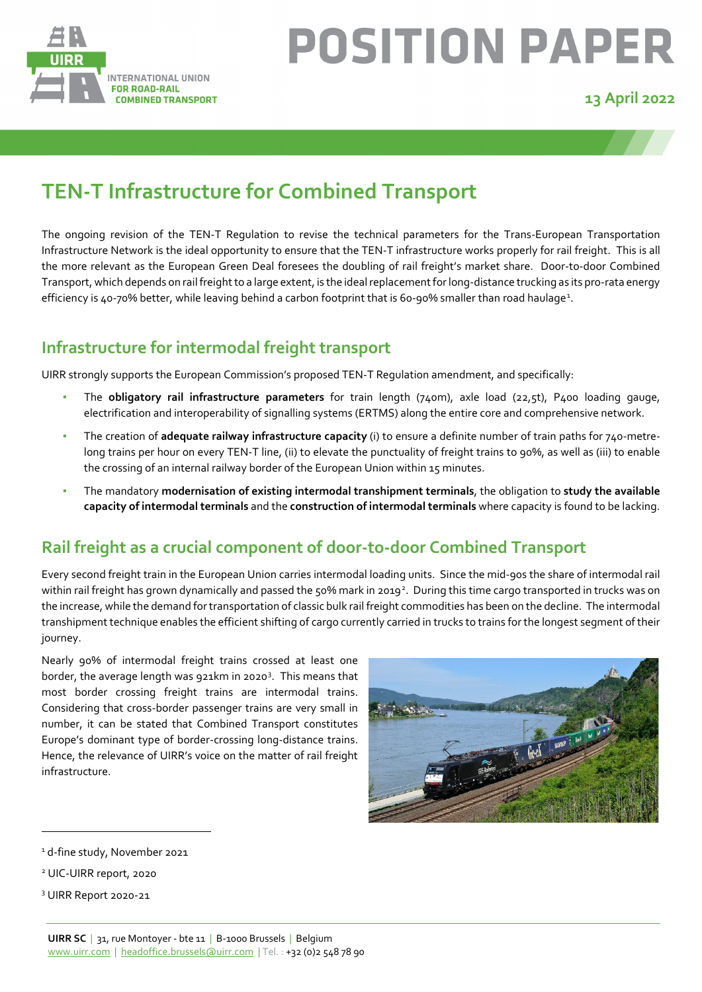

# **POSITION PAPER**

#### **13 April 2022**

# **TEN-T Infrastructure for Combined Transport**

The ongoing revision of the TEN-T Regulation to revise the technical parameters for the Trans-European Transportation Infrastructure Network is the ideal opportunity to ensure that the TEN-T infrastructure works properly for rail freight. This is all the more relevant as the European Green Deal foresees the doubling of rail freight's market share. Door-to-door Combined Transport, which depends on rail freight to a large extent, is the ideal replacement for long-distance trucking as its pro-rata energy efficiency is 40-70% better, while leaving behind a carbon footprint that is 60-90% smaller than road haulage<sup>[1](#page-0-0)</sup>.

#### **Infrastructure for intermodal freight transport**

UIRR strongly supports the European Commission's proposed TEN-T Regulation amendment, and specifically:

- The **obligatory rail infrastructure parameters** for train length (740m), axle load (22,5t), P400 loading gauge, electrification and interoperability of signalling systems (ERTMS) along the entire core and comprehensive network.
- The creation of **adequate railway infrastructure capacity** (i) to ensure a definite number of train paths for 740-metrelong trains per hour on every TEN-T line, (ii) to elevate the punctuality of freight trains to 90%, as well as (iii) to enable the crossing of an internal railway border of the European Union within 15 minutes.
- The mandatory **modernisation of existing intermodal transhipment terminals**, the obligation to **study the available capacity of intermodal terminals** and the **construction of intermodal terminals** where capacity is found to be lacking.

#### **Rail freight as a crucial component of door-to-door Combined Transport**

Every second freight train in the European Union carries intermodal loading units. Since the mid-90s the share of intermodal rail within rail freight has grown dynamically and passed the 50% mark in [2](#page-0-1)019<sup>2</sup>. During this time cargo transported in trucks was on the increase, while the demand for transportation of classic bulk rail freight commodities has been on the decline. The intermodal transhipment technique enables the efficient shifting of cargo currently carried in trucks to trains for the longest segment of their journey.

Nearly 90% of intermodal freight trains crossed at least one border, the average length was 921km in 2020<sup>[3](#page-0-2)</sup>. This means that most border crossing freight trains are intermodal trains. Considering that cross-border passenger trains are very small in number, it can be stated that Combined Transport constitutes Europe's dominant type of border-crossing long-distance trains. Hence, the relevance of UIRR's voice on the matter of rail freight infrastructure.



<span id="page-0-0"></span><sup>&</sup>lt;sup>1</sup> d-fine study, November 2021

<span id="page-0-1"></span><sup>2</sup> UIC-UIRR report, 2020

<span id="page-0-2"></span><sup>3</sup> UIRR Report 2020-21